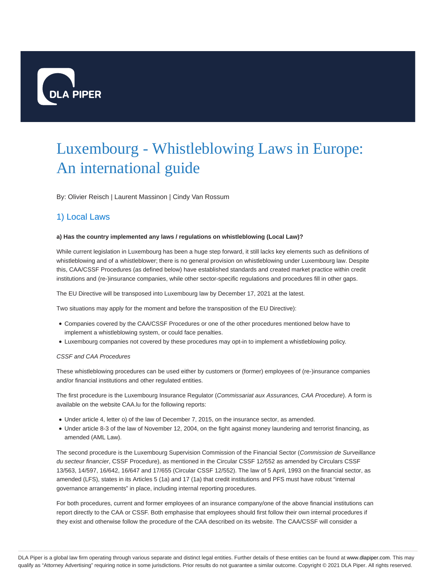

# Luxembourg - Whistleblowing Laws in Europe: An international guide

By: Olivier Reisch | Laurent Massinon | Cindy Van Rossum

## 1) Local Laws

## **a) Has the country implemented any laws / regulations on whistleblowing (Local Law)?**

While current legislation in Luxembourg has been a huge step forward, it still lacks key elements such as definitions of whistleblowing and of a whistleblower; there is no general provision on whistleblowing under Luxembourg law. Despite this, CAA/CSSF Procedures (as defined below) have established standards and created market practice within credit institutions and (re-)insurance companies, while other sector-specific regulations and procedures fill in other gaps.

The EU Directive will be transposed into Luxembourg law by December 17, 2021 at the latest.

Two situations may apply for the moment and before the transposition of the EU Directive):

- Companies covered by the CAA/CSSF Procedures or one of the other procedures mentioned below have to implement a whistleblowing system, or could face penalties.
- Luxembourg companies not covered by these procedures may opt-in to implement a whistleblowing policy.

## CSSF and CAA Procedures

These whistleblowing procedures can be used either by customers or (former) employees of (re-)insurance companies and/or financial institutions and other regulated entities.

The first procedure is the Luxembourg Insurance Regulator (Commissariat aux Assurances, CAA Procedure). A form is available on the website CAA.lu for the following reports:

- Under article 4, letter o) of the law of December 7, 2015, on the insurance sector, as amended.
- Under article 8-3 of the law of November 12, 2004, on the fight against money laundering and terrorist financing, as amended (AML Law).

The second procedure is the Luxembourg Supervision Commission of the Financial Sector (Commission de Surveillance du secteur financier, CSSF Procedure), as mentioned in the Circular CSSF 12/552 as amended by Circulars CSSF 13/563, 14/597, 16/642, 16/647 and 17/655 (Circular CSSF 12/552). The law of 5 April, 1993 on the financial sector, as amended (LFS), states in its Articles 5 (1a) and 17 (1a) that credit institutions and PFS must have robust "internal governance arrangements" in place, including internal reporting procedures.

For both procedures, current and former employees of an insurance company/one of the above financial institutions can report directly to the CAA or CSSF. Both emphasise that employees should first follow their own internal procedures if they exist and otherwise follow the procedure of the CAA described on its website. The CAA/CSSF will consider a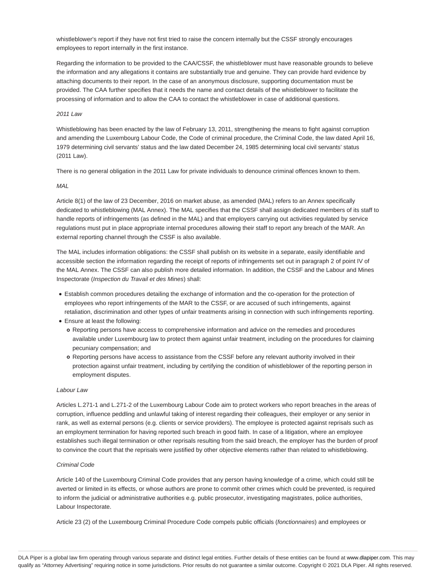whistleblower's report if they have not first tried to raise the concern internally but the CSSF strongly encourages employees to report internally in the first instance.

Regarding the information to be provided to the CAA/CSSF, the whistleblower must have reasonable grounds to believe the information and any allegations it contains are substantially true and genuine. They can provide hard evidence by attaching documents to their report. In the case of an anonymous disclosure, supporting documentation must be provided. The CAA further specifies that it needs the name and contact details of the whistleblower to facilitate the processing of information and to allow the CAA to contact the whistleblower in case of additional questions.

## 2011 Law

Whistleblowing has been enacted by the law of February 13, 2011, strengthening the means to fight against corruption and amending the Luxembourg Labour Code, the Code of criminal procedure, the Criminal Code, the law dated April 16, 1979 determining civil servants' status and the law dated December 24, 1985 determining local civil servants' status (2011 Law).

There is no general obligation in the 2011 Law for private individuals to denounce criminal offences known to them.

#### MAL

Article 8(1) of the law of 23 December, 2016 on market abuse, as amended (MAL) refers to an Annex specifically dedicated to whistleblowing (MAL Annex). The MAL specifies that the CSSF shall assign dedicated members of its staff to handle reports of infringements (as defined in the MAL) and that employers carrying out activities regulated by service regulations must put in place appropriate internal procedures allowing their staff to report any breach of the MAR. An external reporting channel through the CSSF is also available.

The MAL includes information obligations: the CSSF shall publish on its website in a separate, easily identifiable and accessible section the information regarding the receipt of reports of infringements set out in paragraph 2 of point IV of the MAL Annex. The CSSF can also publish more detailed information. In addition, the CSSF and the Labour and Mines Inspectorate (Inspection du Travail et des Mines) shall:

- Establish common procedures detailing the exchange of information and the co-operation for the protection of employees who report infringements of the MAR to the CSSF, or are accused of such infringements, against retaliation, discrimination and other types of unfair treatments arising in connection with such infringements reporting.
- Ensure at least the following:
	- Reporting persons have access to comprehensive information and advice on the remedies and procedures available under Luxembourg law to protect them against unfair treatment, including on the procedures for claiming pecuniary compensation; and
	- o Reporting persons have access to assistance from the CSSF before any relevant authority involved in their protection against unfair treatment, including by certifying the condition of whistleblower of the reporting person in employment disputes.

#### Labour Law

Articles L.271-1 and L.271-2 of the Luxembourg Labour Code aim to protect workers who report breaches in the areas of corruption, influence peddling and unlawful taking of interest regarding their colleagues, their employer or any senior in rank, as well as external persons (e.g. clients or service providers). The employee is protected against reprisals such as an employment termination for having reported such breach in good faith. In case of a litigation, where an employee establishes such illegal termination or other reprisals resulting from the said breach, the employer has the burden of proof to convince the court that the reprisals were justified by other objective elements rather than related to whistleblowing.

#### Criminal Code

Article 140 of the Luxembourg Criminal Code provides that any person having knowledge of a crime, which could still be averted or limited in its effects, or whose authors are prone to commit other crimes which could be prevented, is required to inform the judicial or administrative authorities e.g. public prosecutor, investigating magistrates, police authorities, Labour Inspectorate.

Article 23 (2) of the Luxembourg Criminal Procedure Code compels public officials (fonctionnaires) and employees or

DLA Piper is a global law firm operating through various separate and distinct legal entities. Further details of these entities can be found at www.dlapiper.com. This may qualify as "Attorney Advertising" requiring notice in some jurisdictions. Prior results do not guarantee a similar outcome. Copyright © 2021 DLA Piper. All rights reserved.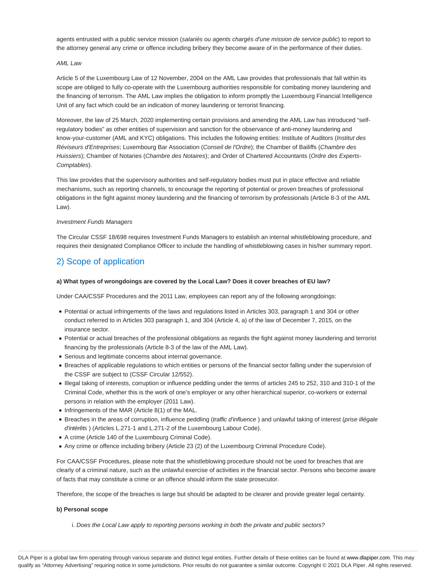agents entrusted with a public service mission (salariés ou agents chargés d'une mission de service public) to report to the attorney general any crime or offence including bribery they become aware of in the performance of their duties.

## AML Law

Article 5 of the Luxembourg Law of 12 November, 2004 on the AML Law provides that professionals that fall within its scope are obliged to fully co-operate with the Luxembourg authorities responsible for combating money laundering and the financing of terrorism. The AML Law implies the obligation to inform promptly the Luxembourg Financial Intelligence Unit of any fact which could be an indication of money laundering or terrorist financing.

Moreover, the law of 25 March, 2020 implementing certain provisions and amending the AML Law has introduced "selfregulatory bodies" as other entities of supervision and sanction for the observance of anti-money laundering and know-your-customer (AML and KYC) obligations. This includes the following entities: Institute of Auditors (Institut des Réviseurs d'Entreprises; Luxembourg Bar Association (Conseil de l'Ordre); the Chamber of Bailiffs (Chambre des Huissiers); Chamber of Notaries (Chambre des Notaires); and Order of Chartered Accountants (Ordre des Experts-Comptables).

This law provides that the supervisory authorities and self-regulatory bodies must put in place effective and reliable mechanisms, such as reporting channels, to encourage the reporting of potential or proven breaches of professional obligations in the fight against money laundering and the financing of terrorism by professionals (Article 8-3 of the AML Law).

## Investment Funds Managers

The Circular CSSF 18/698 requires Investment Funds Managers to establish an internal whistleblowing procedure, and requires their designated Compliance Officer to include the handling of whistleblowing cases in his/her summary report.

## 2) Scope of application

## **a) What types of wrongdoings are covered by the Local Law? Does it cover breaches of EU law?**

Under CAA/CSSF Procedures and the 2011 Law, employees can report any of the following wrongdoings:

- Potential or actual infringements of the laws and regulations listed in Articles 303, paragraph 1 and 304 or other conduct referred to in Articles 303 paragraph 1, and 304 (Article 4, a) of the law of December 7, 2015, on the insurance sector.
- Potential or actual breaches of the professional obligations as regards the fight against money laundering and terrorist financing by the professionals (Article 8-3 of the law of the AML Law).
- Serious and legitimate concerns about internal governance.
- Breaches of applicable regulations to which entities or persons of the financial sector falling under the supervision of the CSSF are subject to (CSSF Circular 12/552).
- Illegal taking of interests, corruption or influence peddling under the terms of articles 245 to 252, 310 and 310-1 of the Criminal Code, whether this is the work of one's employer or any other hierarchical superior, co-workers or external persons in relation with the employer (2011 Law).
- Infringements of the MAR (Article 8(1) of the MAL.
- Breaches in the areas of corruption, influence peddling (traffic d'influence) and unlawful taking of interest (prise illégale d'intérêts ) (Articles L.271-1 and L.271-2 of the Luxembourg Labour Code).
- A crime (Article 140 of the Luxembourg Criminal Code).
- Any crime or offence including bribery (Article 23 (2) of the Luxembourg Criminal Procedure Code).

For CAA/CSSF Procedures, please note that the whistleblowing procedure should not be used for breaches that are clearly of a criminal nature, such as the unlawful exercise of activities in the financial sector. Persons who become aware of facts that may constitute a crime or an offence should inform the state prosecutor.

Therefore, the scope of the breaches is large but should be adapted to be clearer and provide greater legal certainty.

## **b) Personal scope**

i. Does the Local Law apply to reporting persons working in both the private and public sectors?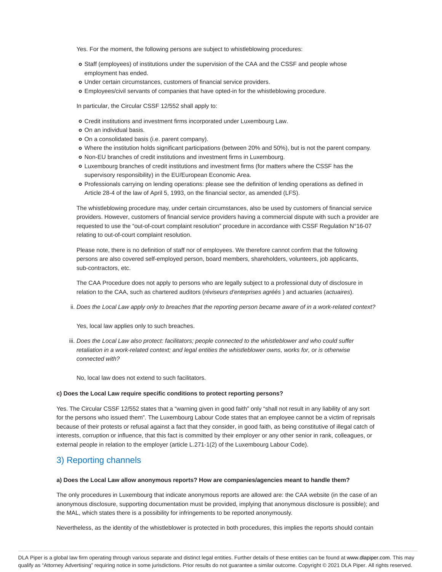Yes. For the moment, the following persons are subject to whistleblowing procedures:

- o Staff (employees) of institutions under the supervision of the CAA and the CSSF and people whose employment has ended.
- Under certain circumstances, customers of financial service providers.
- Employees/civil servants of companies that have opted-in for the whistleblowing procedure.

In particular, the Circular CSSF 12/552 shall apply to:

- Credit institutions and investment firms incorporated under Luxembourg Law.
- o On an individual basis.
- On a consolidated basis (i.e. parent company).
- Where the institution holds significant participations (between 20% and 50%), but is not the parent company.
- Non-EU branches of credit institutions and investment firms in Luxembourg.
- Luxembourg branches of credit institutions and investment firms (for matters where the CSSF has the supervisory responsibility) in the EU/European Economic Area.
- Professionals carrying on lending operations: please see the definition of lending operations as defined in Article 28-4 of the law of April 5, 1993, on the financial sector, as amended (LFS).

The whistleblowing procedure may, under certain circumstances, also be used by customers of financial service providers. However, customers of financial service providers having a commercial dispute with such a provider are requested to use the "out-of-court complaint resolution" procedure in accordance with CSSF Regulation N°16-07 relating to out-of-court complaint resolution.

Please note, there is no definition of staff nor of employees. We therefore cannot confirm that the following persons are also covered self-employed person, board members, shareholders, volunteers, job applicants, sub-contractors, etc.

The CAA Procedure does not apply to persons who are legally subject to a professional duty of disclosure in relation to the CAA, such as chartered auditors (réviseurs d'enteprises agréés ) and actuaries (actuaires).

ii. Does the Local Law apply only to breaches that the reporting person became aware of in a work-related context?

Yes, local law applies only to such breaches.

iii. Does the Local Law also protect: facilitators; people connected to the whistleblower and who could suffer retaliation in a work-related context; and legal entities the whistleblower owns, works for, or is otherwise connected with?

No, local law does not extend to such facilitators.

#### **c) Does the Local Law require specific conditions to protect reporting persons?**

Yes. The Circular CSSF 12/552 states that a "warning given in good faith" only "shall not result in any liability of any sort for the persons who issued them". The Luxembourg Labour Code states that an employee cannot be a victim of reprisals because of their protests or refusal against a fact that they consider, in good faith, as being constitutive of illegal catch of interests, corruption or influence, that this fact is committed by their employer or any other senior in rank, colleagues, or external people in relation to the employer (article L.271-1(2) of the Luxembourg Labour Code).

## 3) Reporting channels

#### **a) Does the Local Law allow anonymous reports? How are companies/agencies meant to handle them?**

The only procedures in Luxembourg that indicate anonymous reports are allowed are: the CAA website (in the case of an anonymous disclosure, supporting documentation must be provided, implying that anonymous disclosure is possible); and the MAL, which states there is a possibility for infringements to be reported anonymously.

Nevertheless, as the identity of the whistleblower is protected in both procedures, this implies the reports should contain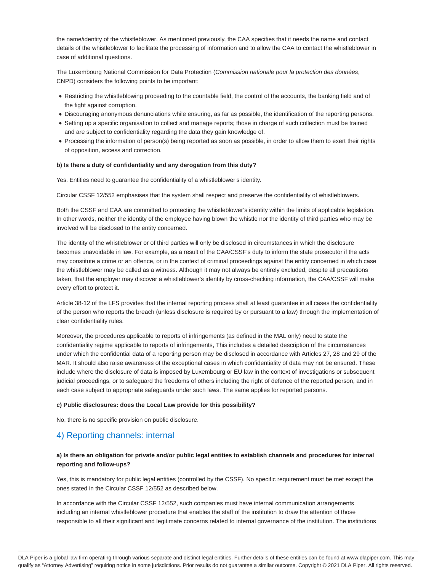the name/identity of the whistleblower. As mentioned previously, the CAA specifies that it needs the name and contact details of the whistleblower to facilitate the processing of information and to allow the CAA to contact the whistleblower in case of additional questions.

The Luxembourg National Commission for Data Protection (Commission nationale pour la protection des données, CNPD) considers the following points to be important:

- Restricting the whistleblowing proceeding to the countable field, the control of the accounts, the banking field and of the fight against corruption.
- Discouraging anonymous denunciations while ensuring, as far as possible, the identification of the reporting persons.
- Setting up a specific organisation to collect and manage reports; those in charge of such collection must be trained and are subject to confidentiality regarding the data they gain knowledge of.
- Processing the information of person(s) being reported as soon as possible, in order to allow them to exert their rights of opposition, access and correction.

#### **b) Is there a duty of confidentiality and any derogation from this duty?**

Yes. Entities need to guarantee the confidentiality of a whistleblower's identity.

Circular CSSF 12/552 emphasises that the system shall respect and preserve the confidentiality of whistleblowers.

Both the CSSF and CAA are committed to protecting the whistleblower's identity within the limits of applicable legislation. In other words, neither the identity of the employee having blown the whistle nor the identity of third parties who may be involved will be disclosed to the entity concerned.

The identity of the whistleblower or of third parties will only be disclosed in circumstances in which the disclosure becomes unavoidable in law. For example, as a result of the CAA/CSSF's duty to inform the state prosecutor if the acts may constitute a crime or an offence, or in the context of criminal proceedings against the entity concerned in which case the whistleblower may be called as a witness. Although it may not always be entirely excluded, despite all precautions taken, that the employer may discover a whistleblower's identity by cross-checking information, the CAA/CSSF will make every effort to protect it.

Article 38-12 of the LFS provides that the internal reporting process shall at least guarantee in all cases the confidentiality of the person who reports the breach (unless disclosure is required by or pursuant to a law) through the implementation of clear confidentiality rules.

Moreover, the procedures applicable to reports of infringements (as defined in the MAL only) need to state the confidentiality regime applicable to reports of infringements, This includes a detailed description of the circumstances under which the confidential data of a reporting person may be disclosed in accordance with Articles 27, 28 and 29 of the MAR. It should also raise awareness of the exceptional cases in which confidentiality of data may not be ensured. These include where the disclosure of data is imposed by Luxembourg or EU law in the context of investigations or subsequent judicial proceedings, or to safeguard the freedoms of others including the right of defence of the reported person, and in each case subject to appropriate safeguards under such laws. The same applies for reported persons.

#### **c) Public disclosures: does the Local Law provide for this possibility?**

No, there is no specific provision on public disclosure.

## 4) Reporting channels: internal

## **a) Is there an obligation for private and/or public legal entities to establish channels and procedures for internal reporting and follow-ups?**

Yes, this is mandatory for public legal entities (controlled by the CSSF). No specific requirement must be met except the ones stated in the Circular CSSF 12/552 as described below.

In accordance with the Circular CSSF 12/552, such companies must have internal communication arrangements including an internal whistleblower procedure that enables the staff of the institution to draw the attention of those responsible to all their significant and legitimate concerns related to internal governance of the institution. The institutions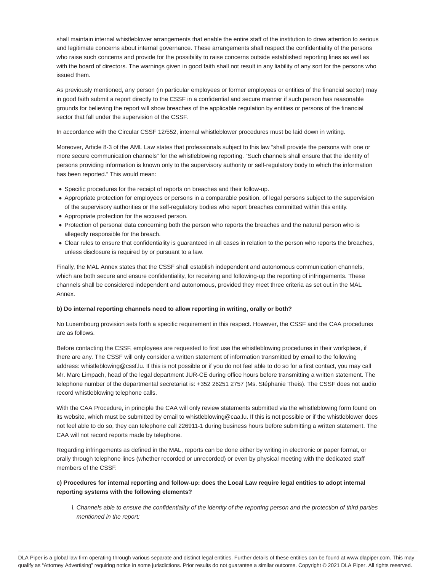shall maintain internal whistleblower arrangements that enable the entire staff of the institution to draw attention to serious and legitimate concerns about internal governance. These arrangements shall respect the confidentiality of the persons who raise such concerns and provide for the possibility to raise concerns outside established reporting lines as well as with the board of directors. The warnings given in good faith shall not result in any liability of any sort for the persons who issued them.

As previously mentioned, any person (in particular employees or former employees or entities of the financial sector) may in good faith submit a report directly to the CSSF in a confidential and secure manner if such person has reasonable grounds for believing the report will show breaches of the applicable regulation by entities or persons of the financial sector that fall under the supervision of the CSSF.

In accordance with the Circular CSSF 12/552, internal whistleblower procedures must be laid down in writing.

Moreover, Article 8-3 of the AML Law states that professionals subject to this law "shall provide the persons with one or more secure communication channels" for the whistleblowing reporting. "Such channels shall ensure that the identity of persons providing information is known only to the supervisory authority or self-regulatory body to which the information has been reported." This would mean:

- Specific procedures for the receipt of reports on breaches and their follow-up.
- Appropriate protection for employees or persons in a comparable position, of legal persons subject to the supervision of the supervisory authorities or the self-regulatory bodies who report breaches committed within this entity.
- Appropriate protection for the accused person.
- Protection of personal data concerning both the person who reports the breaches and the natural person who is allegedly responsible for the breach.
- Clear rules to ensure that confidentiality is guaranteed in all cases in relation to the person who reports the breaches, unless disclosure is required by or pursuant to a law.

Finally, the MAL Annex states that the CSSF shall establish independent and autonomous communication channels, which are both secure and ensure confidentiality, for receiving and following-up the reporting of infringements. These channels shall be considered independent and autonomous, provided they meet three criteria as set out in the MAL Annex.

## **b) Do internal reporting channels need to allow reporting in writing, orally or both?**

No Luxembourg provision sets forth a specific requirement in this respect. However, the CSSF and the CAA procedures are as follows.

Before contacting the CSSF, employees are requested to first use the whistleblowing procedures in their workplace, if there are any. The CSSF will only consider a written statement of information transmitted by email to the following address: whistleblowing@cssf.lu. If this is not possible or if you do not feel able to do so for a first contact, you may call Mr. Marc Limpach, head of the legal department JUR-CE during office hours before transmitting a written statement. The telephone number of the departmental secretariat is: +352 26251 2757 (Ms. Stéphanie Theis). The CSSF does not audio record whistleblowing telephone calls.

With the CAA Procedure, in principle the CAA will only review statements submitted via the whistleblowing form found on its website, which must be submitted by email to whistleblowing@caa.lu. If this is not possible or if the whistleblower does not feel able to do so, they can telephone call 226911-1 during business hours before submitting a written statement. The CAA will not record reports made by telephone.

Regarding infringements as defined in the MAL, reports can be done either by writing in electronic or paper format, or orally through telephone lines (whether recorded or unrecorded) or even by physical meeting with the dedicated staff members of the CSSF.

## **c) Procedures for internal reporting and follow-up: does the Local Law require legal entities to adopt internal reporting systems with the following elements?**

i. Channels able to ensure the confidentiality of the identity of the reporting person and the protection of third parties mentioned in the report: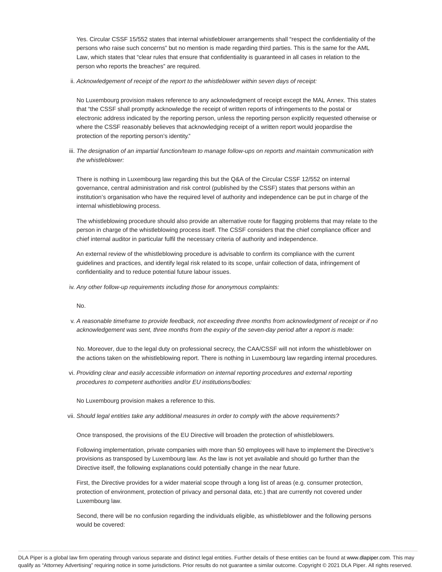Yes. Circular CSSF 15/552 states that internal whistleblower arrangements shall "respect the confidentiality of the persons who raise such concerns" but no mention is made regarding third parties. This is the same for the AML Law, which states that "clear rules that ensure that confidentiality is guaranteed in all cases in relation to the person who reports the breaches" are required.

ii. Acknowledgement of receipt of the report to the whistleblower within seven days of receipt:

No Luxembourg provision makes reference to any acknowledgment of receipt except the MAL Annex. This states that "the CSSF shall promptly acknowledge the receipt of written reports of infringements to the postal or electronic address indicated by the reporting person, unless the reporting person explicitly requested otherwise or where the CSSF reasonably believes that acknowledging receipt of a written report would jeopardise the protection of the reporting person's identity."

iii. The designation of an impartial function/team to manage follow-ups on reports and maintain communication with the whistleblower:

There is nothing in Luxembourg law regarding this but the Q&A of the Circular CSSF 12/552 on internal governance, central administration and risk control (published by the CSSF) states that persons within an institution's organisation who have the required level of authority and independence can be put in charge of the internal whistleblowing process.

The whistleblowing procedure should also provide an alternative route for flagging problems that may relate to the person in charge of the whistleblowing process itself. The CSSF considers that the chief compliance officer and chief internal auditor in particular fulfil the necessary criteria of authority and independence.

An external review of the whistleblowing procedure is advisable to confirm its compliance with the current guidelines and practices, and identify legal risk related to its scope, unfair collection of data, infringement of confidentiality and to reduce potential future labour issues.

iv. Any other follow-up requirements including those for anonymous complaints:

No.

v. A reasonable timeframe to provide feedback, not exceeding three months from acknowledgment of receipt or if no acknowledgement was sent, three months from the expiry of the seven-day period after a report is made:

No. Moreover, due to the legal duty on professional secrecy, the CAA/CSSF will not inform the whistleblower on the actions taken on the whistleblowing report. There is nothing in Luxembourg law regarding internal procedures.

vi. Providing clear and easily accessible information on internal reporting procedures and external reporting procedures to competent authorities and/or EU institutions/bodies:

No Luxembourg provision makes a reference to this.

vii. Should legal entities take any additional measures in order to comply with the above requirements?

Once transposed, the provisions of the EU Directive will broaden the protection of whistleblowers.

Following implementation, private companies with more than 50 employees will have to implement the Directive's provisions as transposed by Luxembourg law. As the law is not yet available and should go further than the Directive itself, the following explanations could potentially change in the near future.

First, the Directive provides for a wider material scope through a long list of areas (e.g. consumer protection, protection of environment, protection of privacy and personal data, etc.) that are currently not covered under Luxembourg law.

Second, there will be no confusion regarding the individuals eligible, as whistleblower and the following persons would be covered: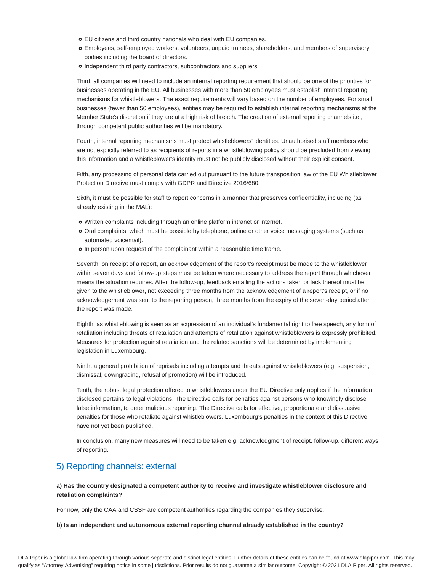- EU citizens and third country nationals who deal with EU companies.
- Employees, self-employed workers, volunteers, unpaid trainees, shareholders, and members of supervisory bodies including the board of directors.
- o Independent third party contractors, subcontractors and suppliers.

Third, all companies will need to include an internal reporting requirement that should be one of the priorities for businesses operating in the EU. All businesses with more than 50 employees must establish internal reporting mechanisms for whistleblowers. The exact requirements will vary based on the number of employees. For small businesses (fewer than 50 employees), entities may be required to establish internal reporting mechanisms at the Member State's discretion if they are at a high risk of breach. The creation of external reporting channels i.e., through competent public authorities will be mandatory.

Fourth, internal reporting mechanisms must protect whistleblowers' identities. Unauthorised staff members who are not explicitly referred to as recipients of reports in a whistleblowing policy should be precluded from viewing this information and a whistleblower's identity must not be publicly disclosed without their explicit consent.

Fifth, any processing of personal data carried out pursuant to the future transposition law of the EU Whistleblower Protection Directive must comply with GDPR and Directive 2016/680.

Sixth, it must be possible for staff to report concerns in a manner that preserves confidentiality, including (as already existing in the MAL):

- Written complaints including through an online platform intranet or internet.
- Oral complaints, which must be possible by telephone, online or other voice messaging systems (such as automated voicemail).
- o In person upon request of the complainant within a reasonable time frame.

Seventh, on receipt of a report, an acknowledgement of the report's receipt must be made to the whistleblower within seven days and follow-up steps must be taken where necessary to address the report through whichever means the situation requires. After the follow-up, feedback entailing the actions taken or lack thereof must be given to the whistleblower, not exceeding three months from the acknowledgement of a report's receipt, or if no acknowledgement was sent to the reporting person, three months from the expiry of the seven-day period after the report was made.

Eighth, as whistleblowing is seen as an expression of an individual's fundamental right to free speech, any form of retaliation including threats of retaliation and attempts of retaliation against whistleblowers is expressly prohibited. Measures for protection against retaliation and the related sanctions will be determined by implementing legislation in Luxembourg.

Ninth, a general prohibition of reprisals including attempts and threats against whistleblowers (e.g. suspension, dismissal, downgrading, refusal of promotion) will be introduced.

Tenth, the robust legal protection offered to whistleblowers under the EU Directive only applies if the information disclosed pertains to legal violations. The Directive calls for penalties against persons who knowingly disclose false information, to deter malicious reporting. The Directive calls for effective, proportionate and dissuasive penalties for those who retaliate against whistleblowers. Luxembourg's penalties in the context of this Directive have not yet been published.

In conclusion, many new measures will need to be taken e.g. acknowledgment of receipt, follow-up, different ways of reporting.

## 5) Reporting channels: external

**a) Has the country designated a competent authority to receive and investigate whistleblower disclosure and retaliation complaints?**

For now, only the CAA and CSSF are competent authorities regarding the companies they supervise.

**b) Is an independent and autonomous external reporting channel already established in the country?**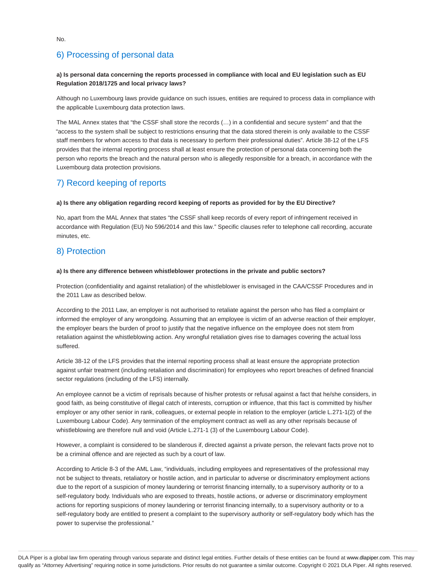## **a) Is personal data concerning the reports processed in compliance with local and EU legislation such as EU Regulation 2018/1725 and local privacy laws?**

Although no Luxembourg laws provide guidance on such issues, entities are required to process data in compliance with the applicable Luxembourg data protection laws.

The MAL Annex states that "the CSSF shall store the records (…) in a confidential and secure system" and that the "access to the system shall be subject to restrictions ensuring that the data stored therein is only available to the CSSF staff members for whom access to that data is necessary to perform their professional duties". Article 38-12 of the LFS provides that the internal reporting process shall at least ensure the protection of personal data concerning both the person who reports the breach and the natural person who is allegedly responsible for a breach, in accordance with the Luxembourg data protection provisions.

## 7) Record keeping of reports

## **a) Is there any obligation regarding record keeping of reports as provided for by the EU Directive?**

No, apart from the MAL Annex that states "the CSSF shall keep records of every report of infringement received in accordance with Regulation (EU) No 596/2014 and this law." Specific clauses refer to telephone call recording, accurate minutes, etc.

## 8) Protection

## **a) Is there any difference between whistleblower protections in the private and public sectors?**

Protection (confidentiality and against retaliation) of the whistleblower is envisaged in the CAA/CSSF Procedures and in the 2011 Law as described below.

According to the 2011 Law, an employer is not authorised to retaliate against the person who has filed a complaint or informed the employer of any wrongdoing. Assuming that an employee is victim of an adverse reaction of their employer, the employer bears the burden of proof to justify that the negative influence on the employee does not stem from retaliation against the whistleblowing action. Any wrongful retaliation gives rise to damages covering the actual loss suffered.

Article 38-12 of the LFS provides that the internal reporting process shall at least ensure the appropriate protection against unfair treatment (including retaliation and discrimination) for employees who report breaches of defined financial sector regulations (including of the LFS) internally.

An employee cannot be a victim of reprisals because of his/her protests or refusal against a fact that he/she considers, in good faith, as being constitutive of illegal catch of interests, corruption or influence, that this fact is committed by his/her employer or any other senior in rank, colleagues, or external people in relation to the employer (article L.271-1(2) of the Luxembourg Labour Code). Any termination of the employment contract as well as any other reprisals because of whistleblowing are therefore null and void (Article L.271-1 (3) of the Luxembourg Labour Code).

However, a complaint is considered to be slanderous if, directed against a private person, the relevant facts prove not to be a criminal offence and are rejected as such by a court of law.

According to Article 8-3 of the AML Law, "individuals, including employees and representatives of the professional may not be subject to threats, retaliatory or hostile action, and in particular to adverse or discriminatory employment actions due to the report of a suspicion of money laundering or terrorist financing internally, to a supervisory authority or to a self-regulatory body. Individuals who are exposed to threats, hostile actions, or adverse or discriminatory employment actions for reporting suspicions of money laundering or terrorist financing internally, to a supervisory authority or to a self-regulatory body are entitled to present a complaint to the supervisory authority or self-regulatory body which has the power to supervise the professional."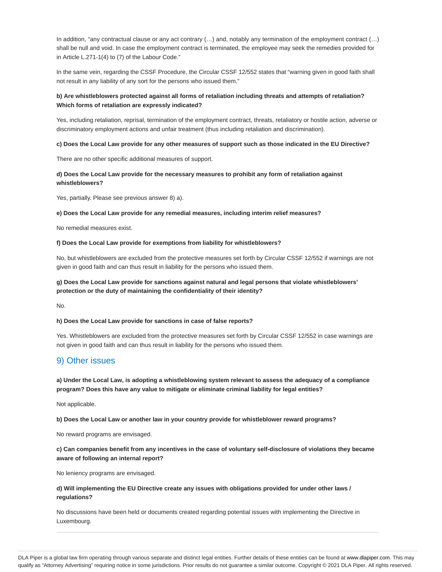In addition, "any contractual clause or any act contrary  $(...)$  and, notably any termination of the employment contract  $(...)$ shall be null and void. In case the employment contract is terminated, the employee may seek the remedies provided for in Article L.271-1(4) to (7) of the Labour Code."

In the same vein, regarding the CSSF Procedure, the Circular CSSF 12/552 states that "warning given in good faith shall not result in any liability of any sort for the persons who issued them."

## **b) Are whistleblowers protected against all forms of retaliation including threats and attempts of retaliation? Which forms of retaliation are expressly indicated?**

Yes, including retaliation, reprisal, termination of the employment contract, threats, retaliatory or hostile action, adverse or discriminatory employment actions and unfair treatment (thus including retaliation and discrimination).

#### **c) Does the Local Law provide for any other measures of support such as those indicated in the EU Directive?**

There are no other specific additional measures of support.

## **d) Does the Local Law provide for the necessary measures to prohibit any form of retaliation against whistleblowers?**

Yes, partially. Please see previous answer 8) a).

#### **e) Does the Local Law provide for any remedial measures, including interim relief measures?**

No remedial measures exist.

#### **f) Does the Local Law provide for exemptions from liability for whistleblowers?**

No, but whistleblowers are excluded from the protective measures set forth by Circular CSSF 12/552 if warnings are not given in good faith and can thus result in liability for the persons who issued them.

## **g) Does the Local Law provide for sanctions against natural and legal persons that violate whistleblowers' protection or the duty of maintaining the confidentiality of their identity?**

No.

## **h) Does the Local Law provide for sanctions in case of false reports?**

Yes. Whistleblowers are excluded from the protective measures set forth by Circular CSSF 12/552 in case warnings are not given in good faith and can thus result in liability for the persons who issued them.

## 9) Other issues

**a) Under the Local Law, is adopting a whistleblowing system relevant to assess the adequacy of a compliance program? Does this have any value to mitigate or eliminate criminal liability for legal entities?**

Not applicable.

**b) Does the Local Law or another law in your country provide for whistleblower reward programs?**

No reward programs are envisaged.

**c) Can companies benefit from any incentives in the case of voluntary self-disclosure of violations they became aware of following an internal report?**

No leniency programs are envisaged.

**d) Will implementing the EU Directive create any issues with obligations provided for under other laws / regulations?**

No discussions have been held or documents created regarding potential issues with implementing the Directive in Luxembourg.